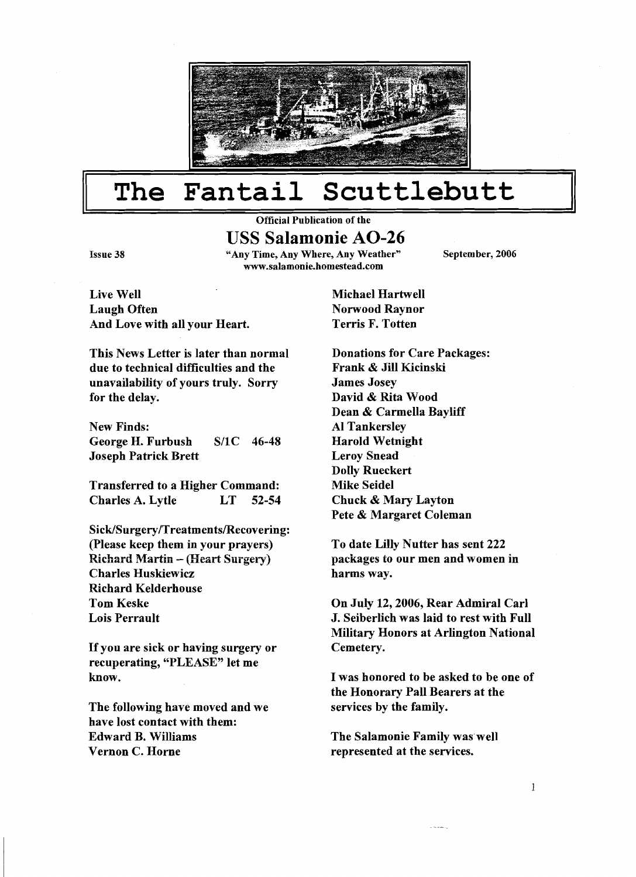

#### The Fantail Scuttlebutt I **I 11**

### **Official Publication of the**

#### **USS Salamonie AO-26**

**Issue 38 "Any Time, Any Where, Any Weather" September, 2006 www.sa1amonie.homestead.com** 

Live Well Laugh Often And Love with all your Heart.

This News Letter is later than normal due to technical difficulties and the unavailability of yours truly. Sorry for the delay.

New Finds: George H. Furbush S/1C 46-48 Joseph Patrick Brett

Transferred to a Higher Command: Charles A. Lytle LT 52-54

 $Sick/Surgery/Treatments/Recovering:$ (Please keep them in your prayers) Richard Martin - (Heart Surgery) Charles Huskiewicz Richard Kelderhouse Tom Keske Lois Perrault

If you are sick or having surgery or recuperating, "PLEASE" let me know.

The following have moved and we have lost contact with them: Edward B. Williams Vernon C. Horne

Michael Hartwell Norwood Raynor Terris F. Totten

Donations for Care Packages: Frank & Jill Kicinski James Josey David & Rita Wood Dean & Carmella Bayliff A1 Tankersley Harold Wetnight Leroy Snead Dolly Rueckert Mike Seidel Chuck & Mary Layton Pete & Margaret Coleman

To date Lilly Nutter has sent 222 packages to our men and women in harms way.

On July 12,2006, Rear Admiral Carl J. Seiberlich was laid to rest with Full Military Honors at Arlington National Cemetery.

I was honored to be asked to be one of the Honorary Pall Bearers at the services by the family.

The Salamonie Family was well represented at the services.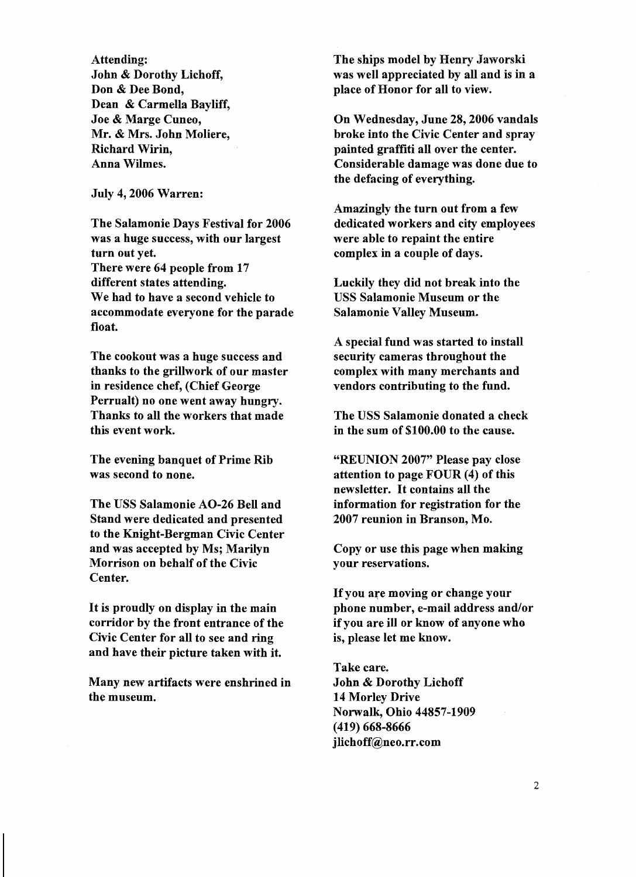Attending: John & Dorothy Lichoff, Don & Dee Bond, Dean & Carmella Bayliff, Joe & Marge Cuneo, Mr. & Mrs. John Moliere, Richard Wirin, Anna Wilmes.

July 4,2006 Warren:

The Salamonie Days Festival for 2006 was a huge success, with our largest turn out yet. There were 64 people from 17 different states attending. We had to have a second vehicle to accommodate everyone for the parade float.

The cookout was a huge success and thanks to the grillwork of our master in residence chef, (Chief George Perrualt) no one went away hungry. Thanks to all the workers that made this event work.

The evening banquet of Prime Rib was second to none.

The USS Salamonie AO-26 Bell and Stand were dedicated and presented to the Knight-Bergman Civic Center and was accepted by Ms; Marilyn Morrison on behalf of the Civic Center.

It is proudly on display in the main corridor by the front entrance of the Civic Center for all to see and ring and have their picture taken with it.

Many new artifacts were enshrined in the museum.

The ships model by Henry Jaworski was well appreciated by all and is **in** a place of Honor for all to view.

On Wednesday, June 28,2006 vandals broke into the Civic Center and spray painted graffiti all over the center. Considerable damage was done due to the defacing of everything.

Amazingly the turn out from a few dedicated workers and city employees were able to repaint the entire complex in a couple of days.

Luckily they did not break into the USS Salamonie Museum or the Salamonie Valley Museum.

A special fund was started to install security cameras throughout the complex with many merchants and vendors contributing to the fund.

The USS Salamonie donated a check in the sum of \$100.00 to the cause.

"REUNION 2007" Please pay close attention to page FOUR (4) of this newsletter. It contains all the information for registration for the 2007 reunion in Branson, Mo.

Copy or use this page when making your reservations.

If you are moving or change your phone number, e-mail address and/or if you are ill or know of anyone who is, please let me know.

Take care. John & Dorothy Lichoff 14 Morley Drive Norwalk, Ohio 44857-1909 (419) 668-8666 jlichoff@neo.rr.com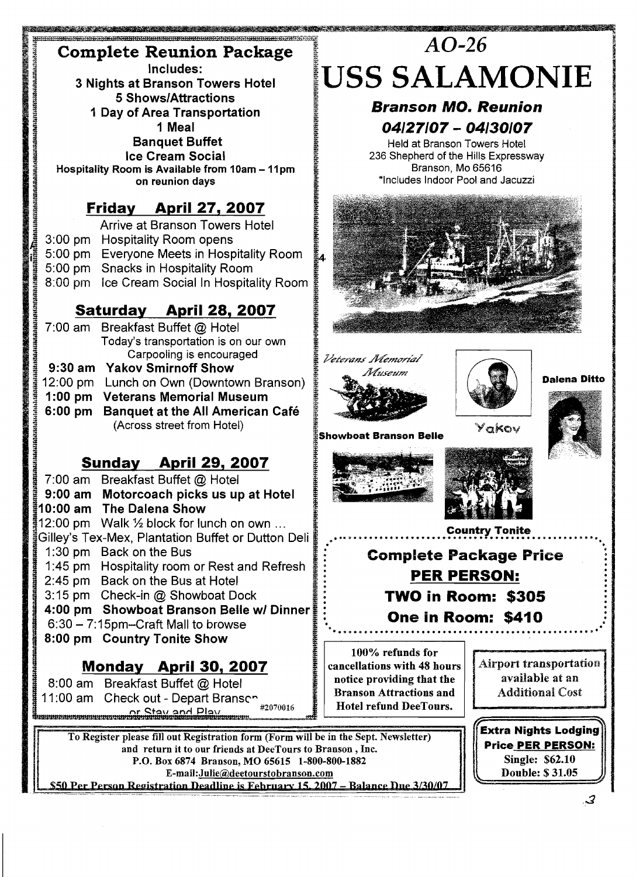## **Complete Reunion Package Includes:**

**3 Nights at Branson Towers Hotel 5 ShowslAttractions 1 Day of Area Transportation 1 Meal Banquet Buffet** 

**Ice Cream Social <br>Hospitality Room is Available from 10am - 11pm on reunion days** 

#### **Friday April 27, 2007**

Arrive at Branson Towers Hotel 3:00 pm Hospitality Room opens 5:00 pm Everyone Meets in Hospitality Room 5:00 pm Snacks in Hospitality Room 8:00 pm Ice Cream Social In Hospitality Room

### **Saturday April 28, 2007**

7:00 am Breakfast Buffet @ Hotel **3** Today's transportation is on our own carpooling is encouraged **9:30 am Yakov Smirnoff Show**  12:OO pm Lunch on Own (Downtown Branson) **1 :00 pm Veterans Memorial Museum 6:00 pm Banquet at the All American Cafe**  (Across street from Hotel)

#### **Sundav April 29,2007**

7:00 am Breakfast Buffet @ Hotel **9:00 am Motorcoach picks us up at Hotel 10:OO am The Dalena Show**  12:00 pm Walk  $\frac{1}{2}$  block for lunch on own ... Gilley's Tex-Mex, Plantation Buffet or Dutton Deli 1 :30 pm Back on the Bus 1 :45 pm Hospitality room or Rest and Refresh 245 pm Back on the Bus at Hotel 3: 15 pm Check-in @ Showboat Dock **4:00 pm Showboat Branson Belie wl Dinner**  6:30 - 7:15pm-Craft Mall to browse **8:00 pm Country Tonite Show** 

## **f Monday April 30,2007**

8:00 am Breakfast Buffet @ Hotel 11:00 am Check out - Depart Bransen #2070016 

# $AO-26$ **US§ SALAMONIE**

#### **Branson MO. Reunion <sup>04127107</sup>**- **<sup>04130107</sup>**

Held at Branson Towers Hotel 236 Shepherd of the Hills Expressway Branson, Mo 65616 \*Includes Indoor Pool and Jacuzzi







**Dalena Ditto** 





**E** 

Yakov





**Complete Package Price PER PERSON: TWO in Room: \$305 One in Room: \$410** 

**100% refunds for cancellations with 48 hours notice providing that the Branson Attractions and | | Additional Cost Hotel refund DeeTours.** 

**Airport transportation** available at an

**Extra Nights Lodging Price PER PERSON: Single: \$62.10 Double: \$31.05** 

To Register please fill out Registration form (Form will be in the Sept. Newsletter) and return it to our friends at DeeTours to Branson, Inc. P.O. Box 6874 Branson, MO 65615 1-800-800-1882<br>E-mail: Julie@deetourstobranson.com